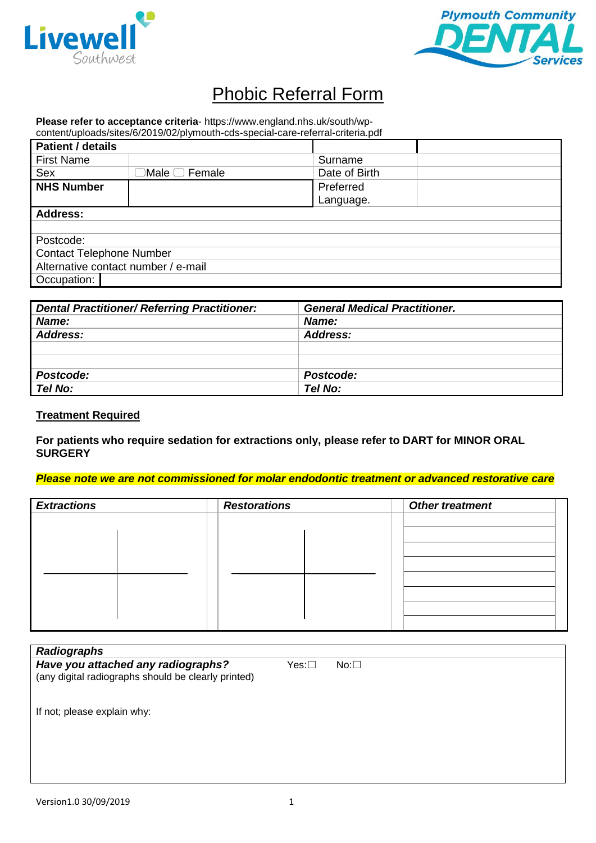



# Phobic Referral Form

**Please refer to acceptance criteria**- https://www.england.nhs.uk/south/wp-

| content/uploads/sites/6/2019/02/plymouth-cds-special-care-referral-criteria.pdf |                           |                        |  |
|---------------------------------------------------------------------------------|---------------------------|------------------------|--|
| <b>Patient / details</b>                                                        |                           |                        |  |
| <b>First Name</b>                                                               |                           | Surname                |  |
| Sex                                                                             | $\Box$ Male $\Box$ Female | Date of Birth          |  |
| <b>NHS Number</b>                                                               |                           | Preferred<br>Language. |  |
| <b>Address:</b>                                                                 |                           |                        |  |
|                                                                                 |                           |                        |  |
| Postcode:                                                                       |                           |                        |  |
| <b>Contact Telephone Number</b>                                                 |                           |                        |  |
| Alternative contact number / e-mail                                             |                           |                        |  |
| Occupation:                                                                     |                           |                        |  |

| <b>Dental Practitioner/ Referring Practitioner:</b> | <b>General Medical Practitioner.</b> |
|-----------------------------------------------------|--------------------------------------|
| Name:                                               | Name:                                |
| Address:                                            | Address:                             |
|                                                     |                                      |
|                                                     |                                      |
| Postcode:                                           | Postcode:                            |
| Tel No:                                             | Tel No:                              |

#### **Treatment Required**

**For patients who require sedation for extractions only, please refer to DART for MINOR ORAL SURGERY**

#### *Please note we are not commissioned for molar endodontic treatment or advanced restorative care*

| <b>Extractions</b> | <b>Restorations</b> | <b>Other treatment</b> |
|--------------------|---------------------|------------------------|
|                    |                     |                        |
|                    |                     |                        |
|                    |                     |                        |
|                    |                     |                        |
|                    |                     |                        |
|                    |                     |                        |
|                    |                     |                        |

| <b>Radiographs</b>                                                                        |       |            |
|-------------------------------------------------------------------------------------------|-------|------------|
| Have you attached any radiographs?<br>(any digital radiographs should be clearly printed) | Yes:□ | $No: \Box$ |
| If not; please explain why:                                                               |       |            |
|                                                                                           |       |            |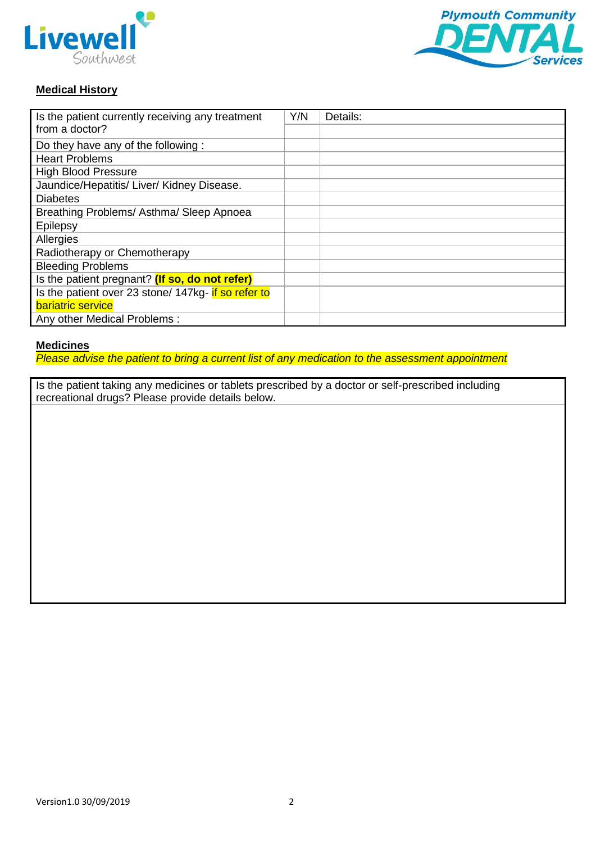



# **Medical History**

| Is the patient currently receiving any treatment    |  | Details: |
|-----------------------------------------------------|--|----------|
| from a doctor?                                      |  |          |
| Do they have any of the following:                  |  |          |
| <b>Heart Problems</b>                               |  |          |
| <b>High Blood Pressure</b>                          |  |          |
| Jaundice/Hepatitis/ Liver/ Kidney Disease.          |  |          |
| <b>Diabetes</b>                                     |  |          |
| Breathing Problems/Asthma/Sleep Apnoea              |  |          |
| Epilepsy                                            |  |          |
| Allergies                                           |  |          |
| Radiotherapy or Chemotherapy                        |  |          |
| <b>Bleeding Problems</b>                            |  |          |
| Is the patient pregnant? (If so, do not refer)      |  |          |
| Is the patient over 23 stone/ 147kg- if so refer to |  |          |
| bariatric service                                   |  |          |
| Any other Medical Problems:                         |  |          |

#### **Medicines**

*Please advise the patient to bring a current list of any medication to the assessment appointment*

Is the patient taking any medicines or tablets prescribed by a doctor or self-prescribed including recreational drugs? Please provide details below.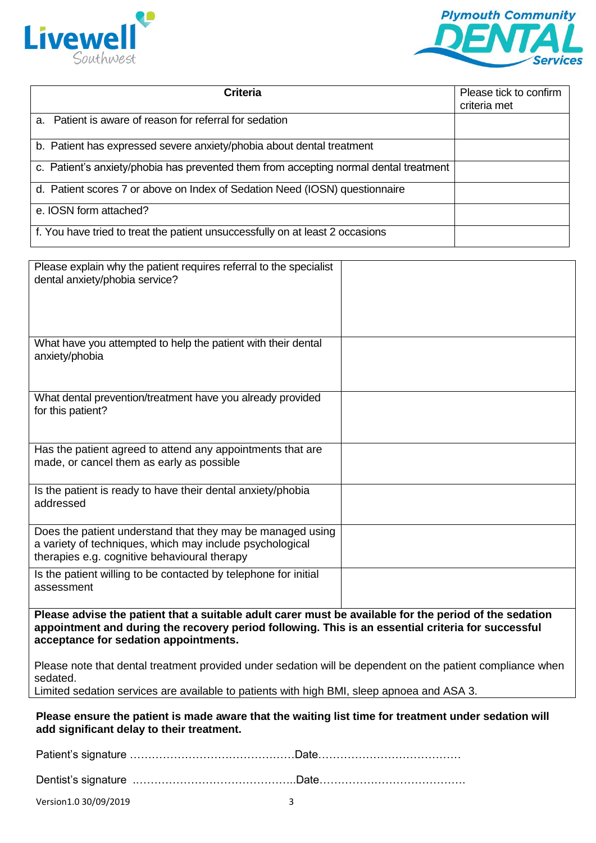



| <b>Criteria</b>                                                                       | Please tick to confirm<br>criteria met |
|---------------------------------------------------------------------------------------|----------------------------------------|
|                                                                                       |                                        |
| a. Patient is aware of reason for referral for sedation                               |                                        |
| b. Patient has expressed severe anxiety/phobia about dental treatment                 |                                        |
| c. Patient's anxiety/phobia has prevented them from accepting normal dental treatment |                                        |
| d. Patient scores 7 or above on Index of Sedation Need (IOSN) questionnaire           |                                        |
| e. IOSN form attached?                                                                |                                        |
| f. You have tried to treat the patient unsuccessfully on at least 2 occasions         |                                        |

| Please explain why the patient requires referral to the specialist<br>dental anxiety/phobia service?                                                                                                                                                  |  |  |  |
|-------------------------------------------------------------------------------------------------------------------------------------------------------------------------------------------------------------------------------------------------------|--|--|--|
|                                                                                                                                                                                                                                                       |  |  |  |
|                                                                                                                                                                                                                                                       |  |  |  |
| What have you attempted to help the patient with their dental<br>anxiety/phobia                                                                                                                                                                       |  |  |  |
| What dental prevention/treatment have you already provided<br>for this patient?                                                                                                                                                                       |  |  |  |
| Has the patient agreed to attend any appointments that are<br>made, or cancel them as early as possible                                                                                                                                               |  |  |  |
| Is the patient is ready to have their dental anxiety/phobia<br>addressed                                                                                                                                                                              |  |  |  |
| Does the patient understand that they may be managed using<br>a variety of techniques, which may include psychological<br>therapies e.g. cognitive behavioural therapy                                                                                |  |  |  |
| Is the patient willing to be contacted by telephone for initial<br>assessment                                                                                                                                                                         |  |  |  |
| Please advise the patient that a suitable adult carer must be available for the period of the sedation<br>appointment and during the recovery period following. This is an essential criteria for successful<br>acceptance for sedation appointments. |  |  |  |
| Please note that dental treatment provided under sedation will be dependent on the patient compliance when                                                                                                                                            |  |  |  |
| sedated.<br>Limited sedation services are available to patients with high BMI, sleep apnoea and ASA 3.                                                                                                                                                |  |  |  |
| Please ensure the patient is made aware that the waiting list time for treatment under sedation will<br>add significant delay to their treatment.                                                                                                     |  |  |  |
|                                                                                                                                                                                                                                                       |  |  |  |

Dentist's signature .……………………………………..Date………………………………….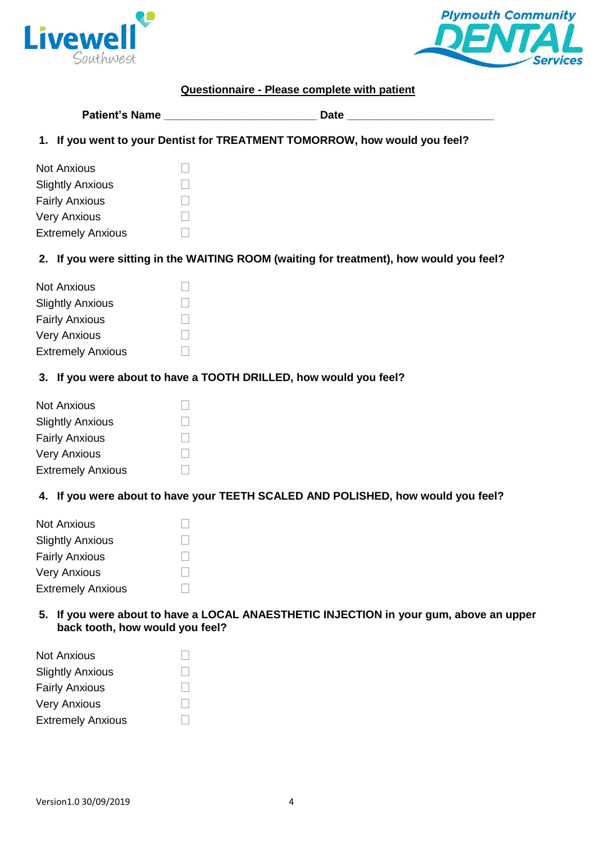



# **Questionnaire - Please complete with patient**

| <b>Patient's Name</b> | isto |
|-----------------------|------|
|-----------------------|------|

**1. If you went to your Dentist for TREATMENT TOMORROW, how would you feel?**

| <b>Not Anxious</b>       |  |
|--------------------------|--|
| <b>Slightly Anxious</b>  |  |
| <b>Fairly Anxious</b>    |  |
| <b>Very Anxious</b>      |  |
| <b>Extremely Anxious</b> |  |

# **2. If you were sitting in the WAITING ROOM (waiting for treatment), how would you feel?**

#### **3. If you were about to have a TOOTH DRILLED, how would you feel?**

| <b>Not Anxious</b>       |  |
|--------------------------|--|
| <b>Slightly Anxious</b>  |  |
| <b>Fairly Anxious</b>    |  |
| <b>Very Anxious</b>      |  |
| <b>Extremely Anxious</b> |  |

# **4. If you were about to have your TEETH SCALED AND POLISHED, how would you feel?**

| <b>Not Anxious</b>       |  |
|--------------------------|--|
| <b>Slightly Anxious</b>  |  |
| <b>Fairly Anxious</b>    |  |
| <b>Very Anxious</b>      |  |
| <b>Extremely Anxious</b> |  |

**5. If you were about to have a LOCAL ANAESTHETIC INJECTION in your gum, above an upper back tooth, how would you feel?**